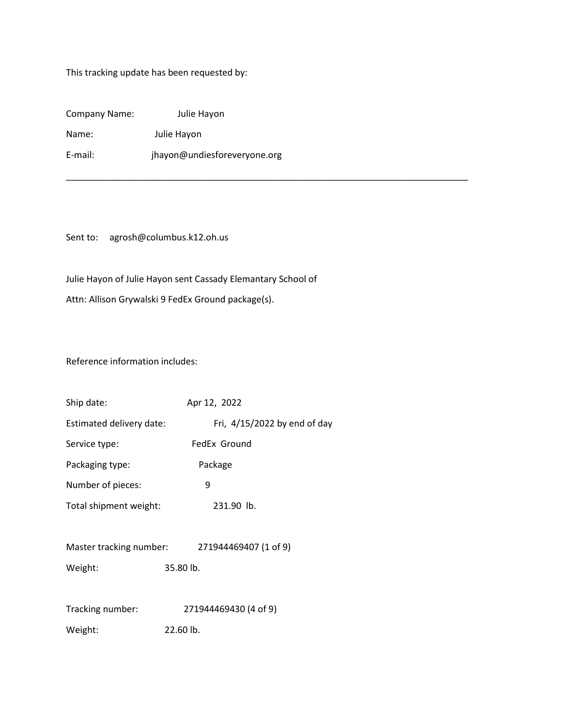This tracking update has been requested by:

Company Name: Julie Hayon Name: Julie Hayon E-mail: jhayon@undiesforeveryone.org

Sent to: agrosh@columbus.k12.oh.us

Julie Hayon of Julie Hayon sent Cassady Elemantary School of Attn: Allison Grywalski 9 FedEx Ground package(s).

\_\_\_\_\_\_\_\_\_\_\_\_\_\_\_\_\_\_\_\_\_\_\_\_\_\_\_\_\_\_\_\_\_\_\_\_\_\_\_\_\_\_\_\_\_\_\_\_\_\_\_\_\_\_\_\_\_\_\_\_\_\_\_\_\_\_\_\_\_\_\_\_\_\_\_\_\_\_\_\_

Reference information includes:

| Ship date:               | Apr 12, 2022                                  |
|--------------------------|-----------------------------------------------|
| Estimated delivery date: | Fri, $4/15/2022$ by end of day                |
| Service type:            | FedEx Ground                                  |
| Packaging type:          | Package                                       |
| Number of pieces:        | 9                                             |
| Total shipment weight:   | 231.90 lb.                                    |
|                          |                                               |
|                          | Master tracking number: 271944469407 (1 of 9) |
| Weight:                  | 35.80 lb.                                     |
|                          |                                               |
| Tracking number:         | 271944469430 (4 of 9)                         |
| Weight:                  | 22.60 lb.                                     |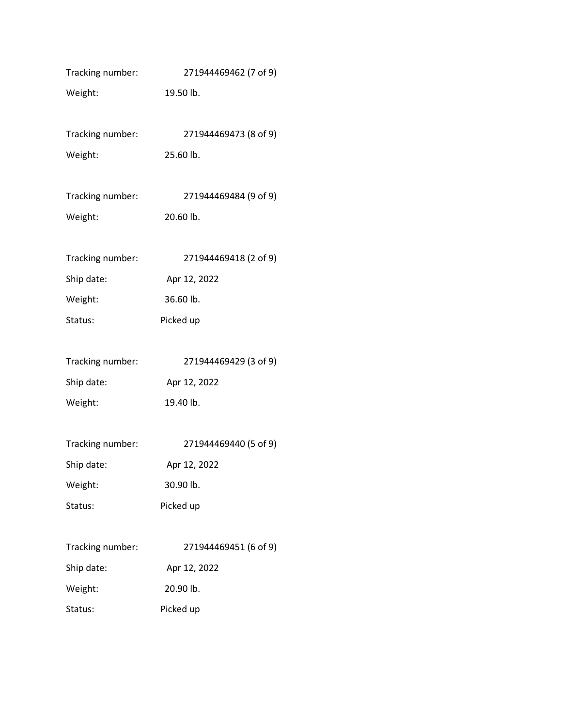| Tracking number: | 271944469462 (7 of 9) |
|------------------|-----------------------|
| Weight:          | 19.50 lb.             |
|                  |                       |
| Tracking number: | 271944469473 (8 of 9) |
| Weight:          | 25.60 lb.             |
|                  |                       |
| Tracking number: | 271944469484 (9 of 9) |
| Weight:          | 20.60 lb.             |
|                  |                       |
| Tracking number: | 271944469418 (2 of 9) |
| Ship date:       | Apr 12, 2022          |
| Weight:          | 36.60 lb.             |
| Status:          | Picked up             |
|                  |                       |
| Tracking number: | 271944469429 (3 of 9) |
| Ship date:       | Apr 12, 2022          |
| Weight:          | 19.40 lb.             |
|                  |                       |
| Tracking number: | 271944469440 (5 of 9) |
| Ship date:       | Apr 12, 2022          |
| Weight:          | 30.90 lb.             |
| Status:          | Picked up             |
|                  |                       |
| Tracking number: | 271944469451 (6 of 9) |
| Ship date:       | Apr 12, 2022          |
| Weight:          | 20.90 lb.             |
| Status:          | Picked up             |